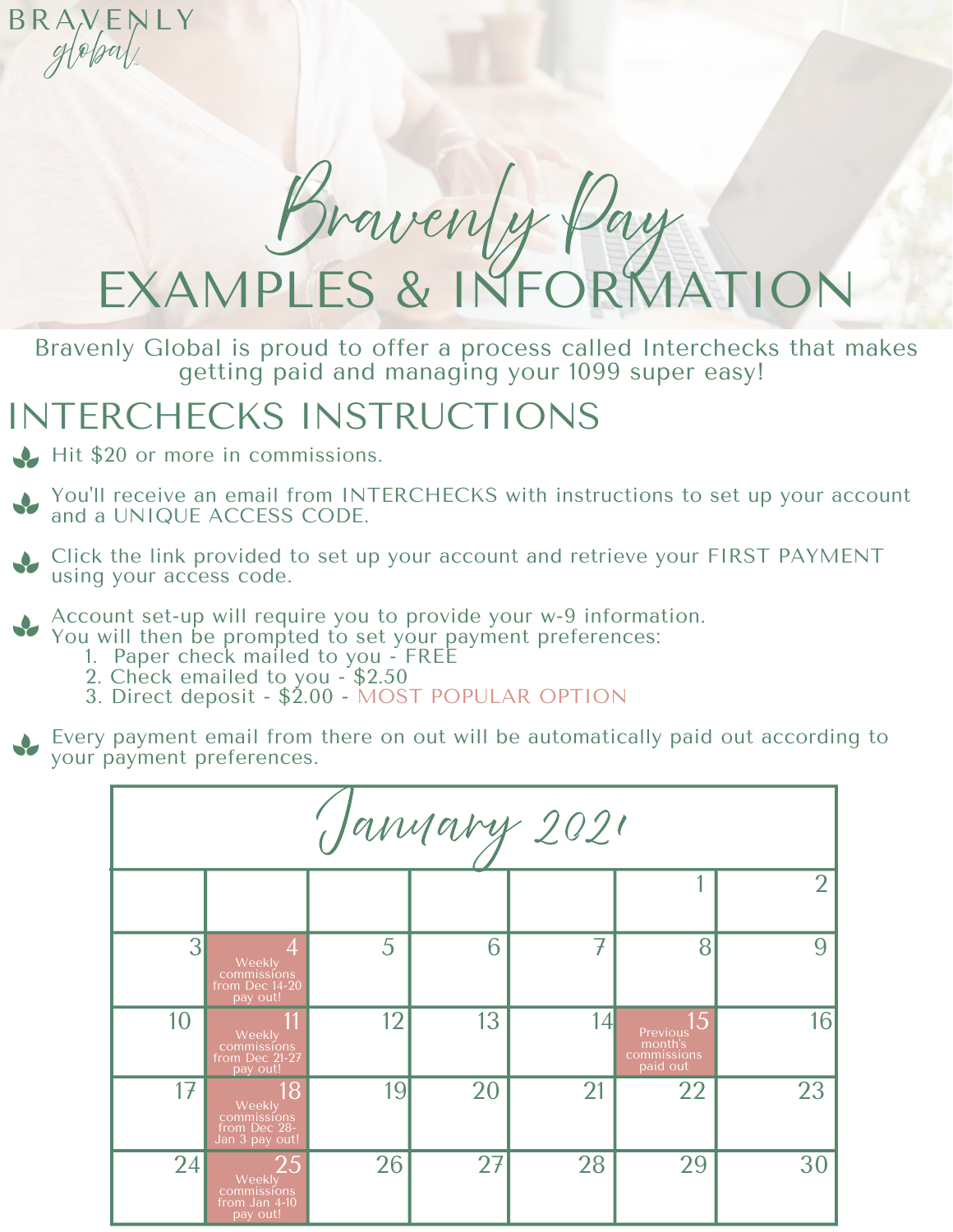EXAMPLES & IN Iraven

Bravenly Global is proud to offer a process called Interchecks that makes getting paid and managing your 1099 super easy!

## INTERCHECKS INSTRUCTIONS

Hit \$20 or more in commissions.

BRAVEN

NI Y

You'll receive an email from INTERCHECKS with instructions to set up your account and a UNIQUE ACCESS CODE.

Click the link provided to set up your account and retrieve your FIRST PAYMENT using your access code.

Account set-up will require you to provide your w-9 information.

- You will then be prompted to set your payment preferences:
	- 1. Paper check mailed to you FREE 2. Check emailed to you - \$2.50
	- 3. Direct deposit \$2.00 MOST POPULAR OPTION

Every payment email from there on out will be automatically paid out according to your payment preferences.

| Janyary 2021 |                                                               |    |    |    |                                                      |                |
|--------------|---------------------------------------------------------------|----|----|----|------------------------------------------------------|----------------|
|              |                                                               |    |    |    |                                                      | $\overline{2}$ |
| 3            | 4<br>Weekly<br>commissions<br>from Dec 14-20<br>pay out!      | 5  | 6  | 7  | 8                                                    | 9              |
| 10           | 11<br>Weekly<br>commissions<br>from Dec 21-27<br>pay out!     | 12 | 13 | 14 | 5.<br>Previous<br>month's<br>commissions<br>paid out | 16             |
| 17           | 18<br>Weekly<br>commissions<br>from Dec 28-<br>Jan 3 pay out! | 19 | 20 | 21 | 22                                                   | 23             |
| 24           | 25<br>Weekly<br>commissions<br>from Jan 4-10<br>pay out!      | 26 | 27 | 28 | 29                                                   | 30             |